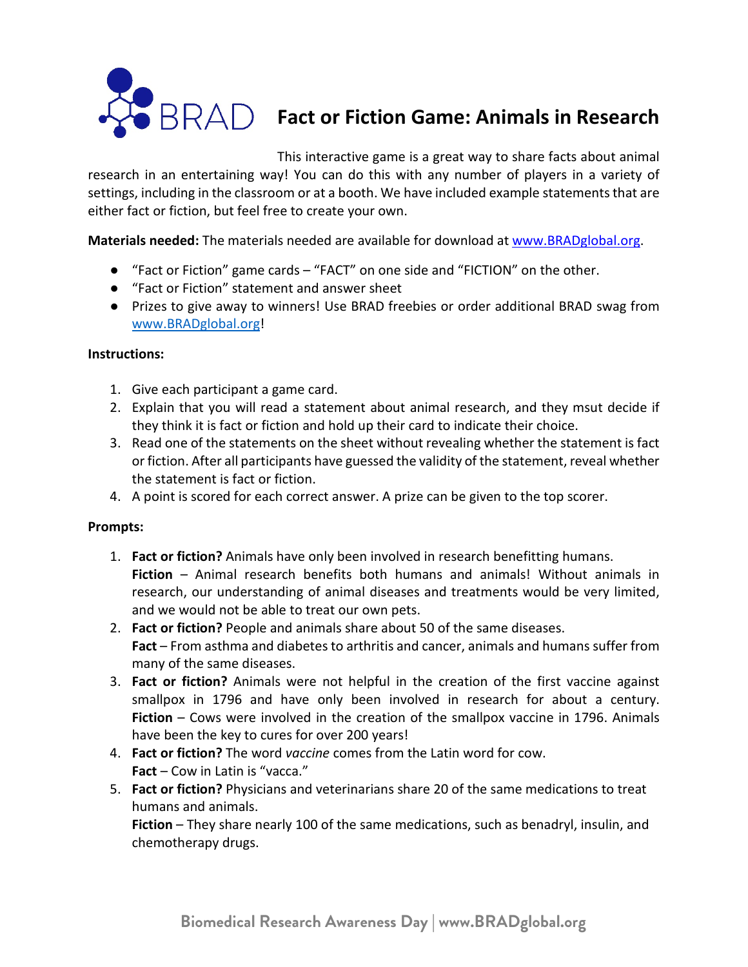

## **Fact or Fiction Game: Animals in Research**

This interactive game is a great way to share facts about animal

research in an entertaining way! You can do this with any number of players in a variety of settings, including in the classroom or at a booth. We have included example statements that are either fact or fiction, but feel free to create your own.

**Materials needed:** The materials needed are available for download at www.BRADglobal.org.

- "Fact or Fiction" game cards "FACT" on one side and "FICTION" on the other.
- "Fact or Fiction" statement and answer sheet
- Prizes to give away to winners! Use BRAD freebies or order additional BRAD swag from www.BRADglobal.org!

## **Instructions:**

- 1. Give each participant a game card.
- 2. Explain that you will read a statement about animal research, and they msut decide if they think it is fact or fiction and hold up their card to indicate their choice.
- 3. Read one of the statements on the sheet without revealing whether the statement is fact or fiction. After all participants have guessed the validity of the statement, reveal whether the statement is fact or fiction.
- 4. A point is scored for each correct answer. A prize can be given to the top scorer.

## **Prompts:**

- 1. **Fact or fiction?** Animals have only been involved in research benefitting humans. **Fiction** – Animal research benefits both humans and animals! Without animals in research, our understanding of animal diseases and treatments would be very limited, and we would not be able to treat our own pets.
- 2. **Fact or fiction?** People and animals share about 50 of the same diseases. **Fact** – From asthma and diabetes to arthritis and cancer, animals and humans suffer from many of the same diseases.
- 3. **Fact or fiction?** Animals were not helpful in the creation of the first vaccine against smallpox in 1796 and have only been involved in research for about a century. **Fiction** – Cows were involved in the creation of the smallpox vaccine in 1796. Animals have been the key to cures for over 200 years!
- 4. **Fact or fiction?** The word *vaccine* comes from the Latin word for cow. **Fact** – Cow in Latin is "vacca."
- 5. **Fact or fiction?** Physicians and veterinarians share 20 of the same medications to treat humans and animals.

**Fiction** – They share nearly 100 of the same medications, such as benadryl, insulin, and chemotherapy drugs.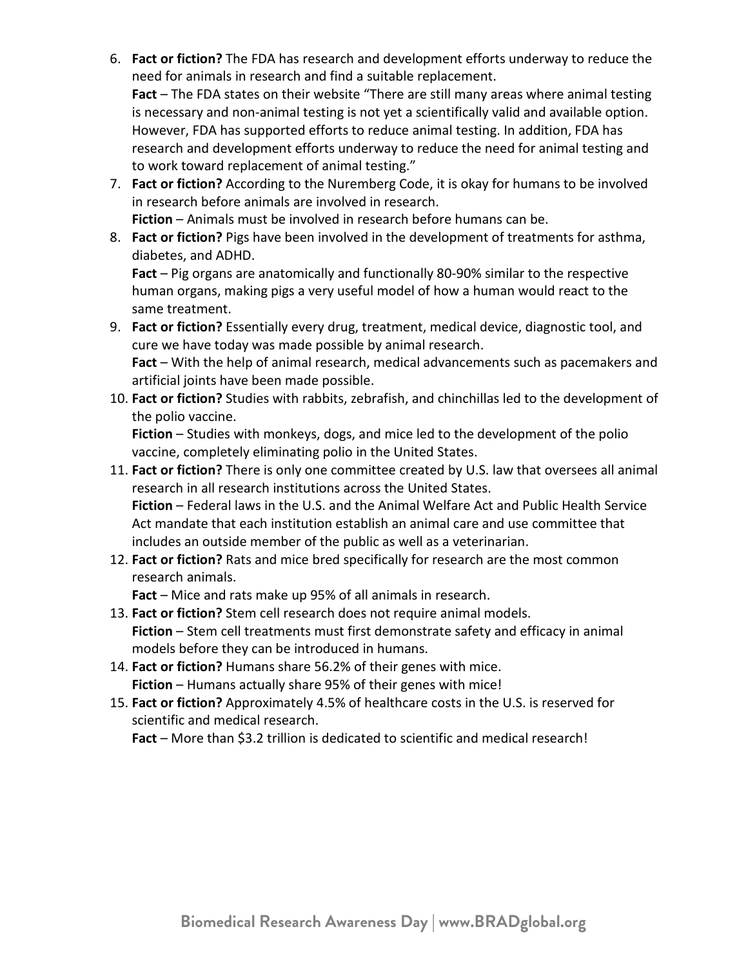6. **Fact or fiction?** The FDA has research and development efforts underway to reduce the need for animals in research and find a suitable replacement.

**Fact** – The FDA states on their website "There are still many areas where animal testing is necessary and non-animal testing is not yet a scientifically valid and available option. However, FDA has supported efforts to reduce animal testing. In addition, FDA has research and development efforts underway to reduce the need for animal testing and to work toward replacement of animal testing."

- 7. **Fact or fiction?** According to the Nuremberg Code, it is okay for humans to be involved in research before animals are involved in research.
	- **Fiction** Animals must be involved in research before humans can be.
- 8. **Fact or fiction?** Pigs have been involved in the development of treatments for asthma, diabetes, and ADHD.

**Fact** – Pig organs are anatomically and functionally 80-90% similar to the respective human organs, making pigs a very useful model of how a human would react to the same treatment.

- 9. **Fact or fiction?** Essentially every drug, treatment, medical device, diagnostic tool, and cure we have today was made possible by animal research. **Fact** – With the help of animal research, medical advancements such as pacemakers and artificial joints have been made possible.
- 10. **Fact or fiction?** Studies with rabbits, zebrafish, and chinchillas led to the development of the polio vaccine.

**Fiction** – Studies with monkeys, dogs, and mice led to the development of the polio vaccine, completely eliminating polio in the United States.

- 11. **Fact or fiction?** There is only one committee created by U.S. law that oversees all animal research in all research institutions across the United States. **Fiction** – Federal laws in the U.S. and the Animal Welfare Act and Public Health Service Act mandate that each institution establish an animal care and use committee that includes an outside member of the public as well as a veterinarian.
- 12. **Fact or fiction?** Rats and mice bred specifically for research are the most common research animals.

**Fact** – Mice and rats make up 95% of all animals in research.

- 13. **Fact or fiction?** Stem cell research does not require animal models. **Fiction** – Stem cell treatments must first demonstrate safety and efficacy in animal models before they can be introduced in humans.
- 14. **Fact or fiction?** Humans share 56.2% of their genes with mice. **Fiction** – Humans actually share 95% of their genes with mice!
- 15. **Fact or fiction?** Approximately 4.5% of healthcare costs in the U.S. is reserved for scientific and medical research.

**Fact** – More than \$3.2 trillion is dedicated to scientific and medical research!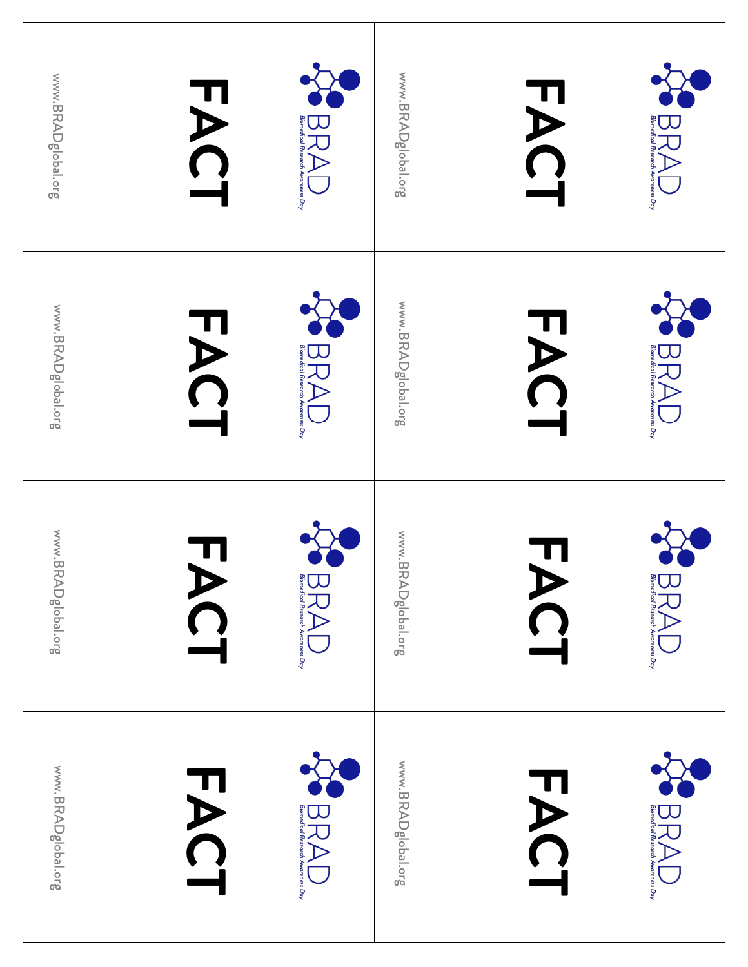